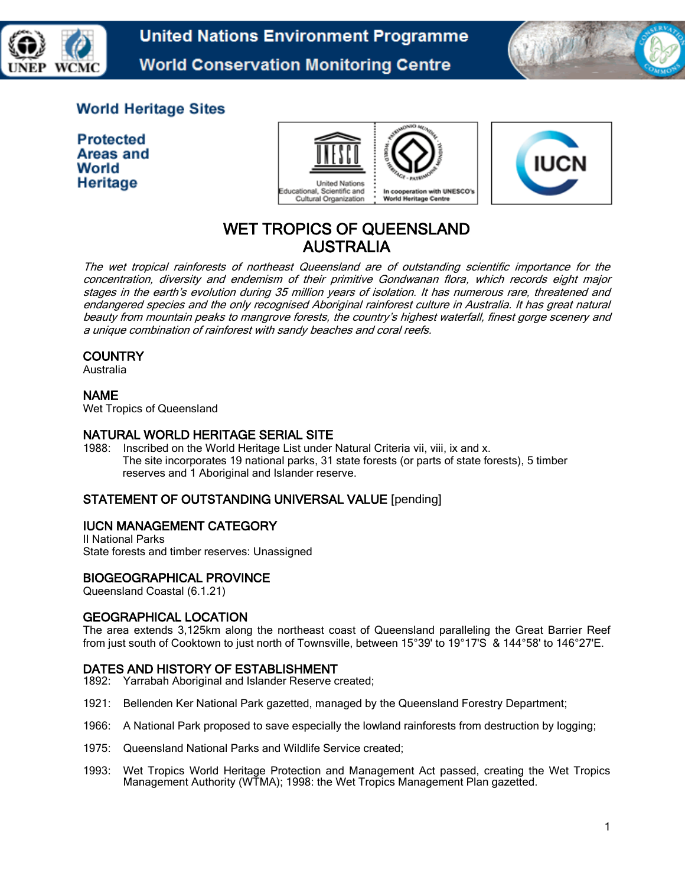



# **World Heritage Sites**

**Protected** Areas and World Heritage





# WET TROPICS OF QUEENSLAND AUSTRALIA

The wet tropical rainforests of northeast Queensland are of outstanding scientific importance for the concentration, diversity and endemism of their primitive Gondwanan flora, which records eight major stages in the earth's evolution during 35 million years of isolation. It has numerous rare, threatened and endangered species and the only recognised Aboriginal rainforest culture in Australia. It has great natural beauty from mountain peaks to mangrove forests, the country's highest waterfall, finest gorge scenery and a unique combination of rainforest with sandy beaches and coral reefs.

# **COUNTRY**

Australia

# NAME

Wet Tropics of Queensland

# NATURAL WORLD HERITAGE SERIAL SITE

1988: Inscribed on the World Heritage List under Natural Criteria vii, viii, ix and x. The site incorporates 19 national parks, 31 state forests (or parts of state forests), 5 timber reserves and 1 Aboriginal and Islander reserve.

# STATEMENT OF OUTSTANDING UNIVERSAL VALUE [pending]

# IUCN MANAGEMENT CATEGORY

II National Parks State forests and timber reserves: Unassigned

# BIOGEOGRAPHICAL PROVINCE

Queensland Coastal (6.1.21)

# GEOGRAPHICAL LOCATION

The area extends 3,125km along the northeast coast of Queensland paralleling the Great Barrier Reef from just south of Cooktown to just north of Townsville, between 15°39' to 19°17'S & 144°58' to 146°27'E.

# DATES AND HISTORY OF ESTABLISHMENT

- 1892: Yarrabah Aboriginal and Islander Reserve created;
- 1921: Bellenden Ker National Park gazetted, managed by the Queensland Forestry Department;
- 1966: A National Park proposed to save especially the lowland rainforests from destruction by logging;
- 1975: Queensland National Parks and Wildlife Service created;
- 1993: Wet Tropics World Heritage Protection and Management Act passed, creating the Wet Tropics Management Authority (WTMA); 1998: the Wet Tropics Management Plan gazetted.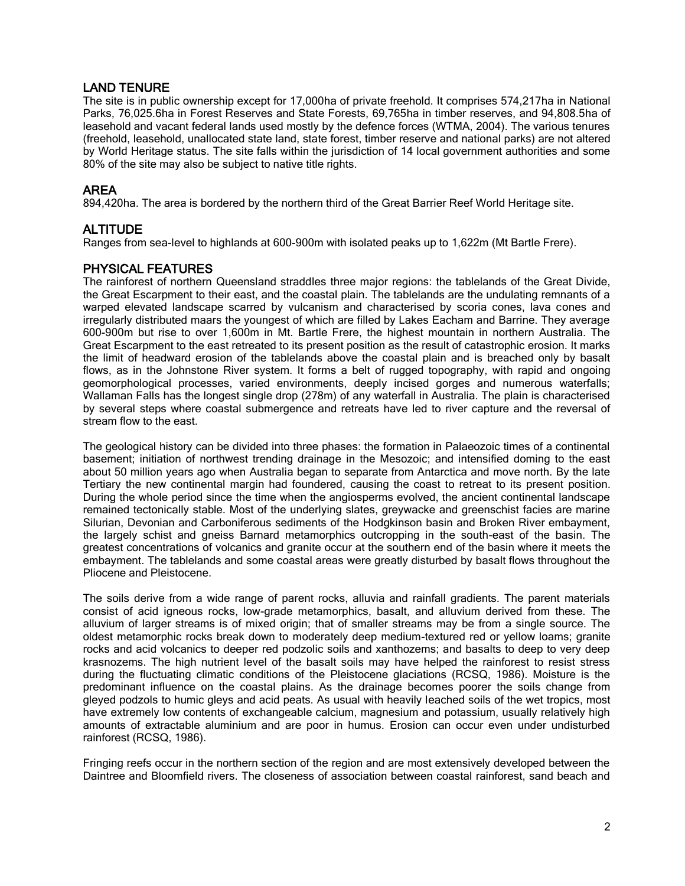# LAND TENURE

The site is in public ownership except for 17,000ha of private freehold. It comprises 574,217ha in National Parks, 76,025.6ha in Forest Reserves and State Forests, 69,765ha in timber reserves, and 94,808.5ha of leasehold and vacant federal lands used mostly by the defence forces (WTMA, 2004). The various tenures (freehold, leasehold, unallocated state land, state forest, timber reserve and national parks) are not altered by World Heritage status. The site falls within the jurisdiction of 14 local government authorities and some 80% of the site may also be subject to native title rights.

#### AREA

894,420ha. The area is bordered by the northern third of the Great Barrier Reef World Heritage site.

# ALTITUDE

Ranges from sea-level to highlands at 600-900m with isolated peaks up to 1,622m (Mt Bartle Frere).

# PHYSICAL FEATURES

The rainforest of northern Queensland straddles three major regions: the tablelands of the Great Divide, the Great Escarpment to their east, and the coastal plain. The tablelands are the undulating remnants of a warped elevated landscape scarred by vulcanism and characterised by scoria cones, lava cones and irregularly distributed maars the youngest of which are filled by Lakes Eacham and Barrine. They average 600-900m but rise to over 1,600m in Mt. Bartle Frere, the highest mountain in northern Australia. The Great Escarpment to the east retreated to its present position as the result of catastrophic erosion. It marks the limit of headward erosion of the tablelands above the coastal plain and is breached only by basalt flows, as in the Johnstone River system. It forms a belt of rugged topography, with rapid and ongoing geomorphological processes, varied environments, deeply incised gorges and numerous waterfalls; Wallaman Falls has the longest single drop (278m) of any waterfall in Australia. The plain is characterised by several steps where coastal submergence and retreats have led to river capture and the reversal of stream flow to the east.

The geological history can be divided into three phases: the formation in Palaeozoic times of a continental basement; initiation of northwest trending drainage in the Mesozoic; and intensified doming to the east about 50 million years ago when Australia began to separate from Antarctica and move north. By the late Tertiary the new continental margin had foundered, causing the coast to retreat to its present position. During the whole period since the time when the angiosperms evolved, the ancient continental landscape remained tectonically stable. Most of the underlying slates, greywacke and greenschist facies are marine Silurian, Devonian and Carboniferous sediments of the Hodgkinson basin and Broken River embayment, the largely schist and gneiss Barnard metamorphics outcropping in the south-east of the basin. The greatest concentrations of volcanics and granite occur at the southern end of the basin where it meets the embayment. The tablelands and some coastal areas were greatly disturbed by basalt flows throughout the Pliocene and Pleistocene.

The soils derive from a wide range of parent rocks, alluvia and rainfall gradients. The parent materials consist of acid igneous rocks, low-grade metamorphics, basalt, and alluvium derived from these. The alluvium of larger streams is of mixed origin; that of smaller streams may be from a single source. The oldest metamorphic rocks break down to moderately deep medium-textured red or yellow loams; granite rocks and acid volcanics to deeper red podzolic soils and xanthozems; and basalts to deep to very deep krasnozems. The high nutrient level of the basalt soils may have helped the rainforest to resist stress during the fluctuating climatic conditions of the Pleistocene glaciations (RCSQ, 1986). Moisture is the predominant influence on the coastal plains. As the drainage becomes poorer the soils change from gleyed podzols to humic gleys and acid peats. As usual with heavily leached soils of the wet tropics, most have extremely low contents of exchangeable calcium, magnesium and potassium, usually relatively high amounts of extractable aluminium and are poor in humus. Erosion can occur even under undisturbed rainforest (RCSQ, 1986).

Fringing reefs occur in the northern section of the region and are most extensively developed between the Daintree and Bloomfield rivers. The closeness of association between coastal rainforest, sand beach and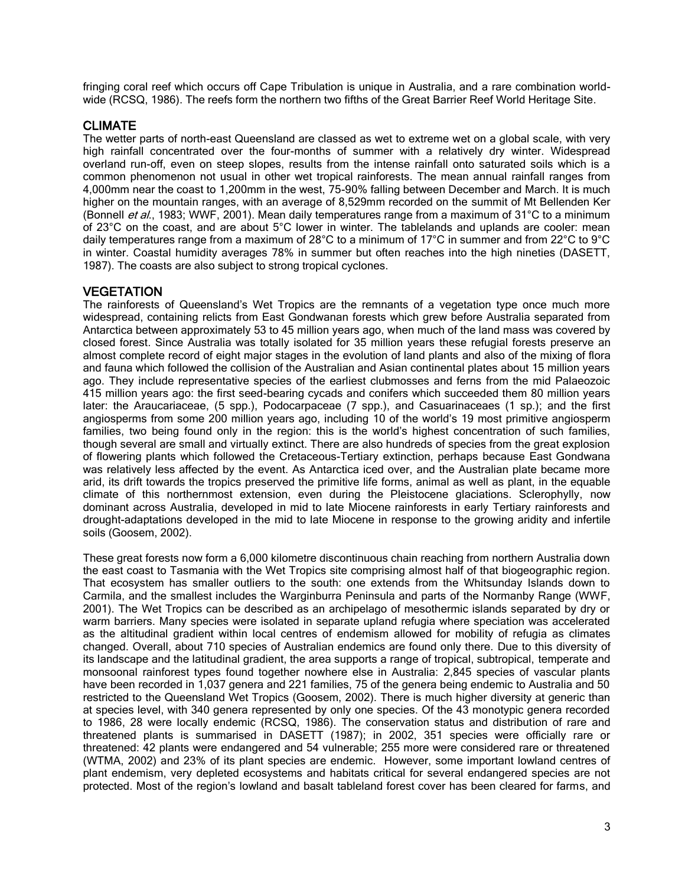fringing coral reef which occurs off Cape Tribulation is unique in Australia, and a rare combination worldwide (RCSQ, 1986). The reefs form the northern two fifths of the Great Barrier Reef World Heritage Site.

#### CLIMATE

The wetter parts of north-east Queensland are classed as wet to extreme wet on a global scale, with very high rainfall concentrated over the four-months of summer with a relatively dry winter. Widespread overland run-off, even on steep slopes, results from the intense rainfall onto saturated soils which is a common phenomenon not usual in other wet tropical rainforests. The mean annual rainfall ranges from 4,000mm near the coast to 1,200mm in the west, 75-90% falling between December and March. It is much higher on the mountain ranges, with an average of 8,529mm recorded on the summit of Mt Bellenden Ker (Bonnell et al., 1983; WWF, 2001). Mean daily temperatures range from a maximum of 31°C to a minimum of 23°C on the coast, and are about 5°C lower in winter. The tablelands and uplands are cooler: mean daily temperatures range from a maximum of 28°C to a minimum of 17°C in summer and from 22°C to 9°C in winter. Coastal humidity averages 78% in summer but often reaches into the high nineties (DASETT, 1987). The coasts are also subject to strong tropical cyclones.

#### **VEGETATION**

The rainforests of Queensland's Wet Tropics are the remnants of a vegetation type once much more widespread, containing relicts from East Gondwanan forests which grew before Australia separated from Antarctica between approximately 53 to 45 million years ago, when much of the land mass was covered by closed forest. Since Australia was totally isolated for 35 million years these refugial forests preserve an almost complete record of eight major stages in the evolution of land plants and also of the mixing of flora and fauna which followed the collision of the Australian and Asian continental plates about 15 million years ago. They include representative species of the earliest clubmosses and ferns from the mid Palaeozoic 415 million years ago: the first seed-bearing cycads and conifers which succeeded them 80 million years later: the Araucariaceae, (5 spp.), Podocarpaceae (7 spp.), and Casuarinaceaes (1 sp.); and the first angiosperms from some 200 million years ago, including 10 of the world's 19 most primitive angiosperm families, two being found only in the region: this is the world's highest concentration of such families, though several are small and virtually extinct. There are also hundreds of species from the great explosion of flowering plants which followed the Cretaceous-Tertiary extinction, perhaps because East Gondwana was relatively less affected by the event. As Antarctica iced over, and the Australian plate became more arid, its drift towards the tropics preserved the primitive life forms, animal as well as plant, in the equable climate of this northernmost extension, even during the Pleistocene glaciations. Sclerophylly, now dominant across Australia, developed in mid to late Miocene rainforests in early Tertiary rainforests and drought-adaptations developed in the mid to late Miocene in response to the growing aridity and infertile soils (Goosem, 2002).

These great forests now form a 6,000 kilometre discontinuous chain reaching from northern Australia down the east coast to Tasmania with the Wet Tropics site comprising almost half of that biogeographic region. That ecosystem has smaller outliers to the south: one extends from the Whitsunday Islands down to Carmila, and the smallest includes the Warginburra Peninsula and parts of the Normanby Range (WWF, 2001). The Wet Tropics can be described as an archipelago of mesothermic islands separated by dry or warm barriers. Many species were isolated in separate upland refugia where speciation was accelerated as the altitudinal gradient within local centres of endemism allowed for mobility of refugia as climates changed. Overall, about 710 species of Australian endemics are found only there. Due to this diversity of its landscape and the latitudinal gradient, the area supports a range of tropical, subtropical, temperate and monsoonal rainforest types found together nowhere else in Australia: 2,845 species of vascular plants have been recorded in 1,037 genera and 221 families, 75 of the genera being endemic to Australia and 50 restricted to the Queensland Wet Tropics (Goosem, 2002). There is much higher diversity at generic than at species level, with 340 genera represented by only one species. Of the 43 monotypic genera recorded to 1986, 28 were locally endemic (RCSQ, 1986). The conservation status and distribution of rare and threatened plants is summarised in DASETT (1987); in 2002, 351 species were officially rare or threatened: 42 plants were endangered and 54 vulnerable; 255 more were considered rare or threatened (WTMA, 2002) and 23% of its plant species are endemic. However, some important lowland centres of plant endemism, very depleted ecosystems and habitats critical for several endangered species are not protected. Most of the region's lowland and basalt tableland forest cover has been cleared for farms, and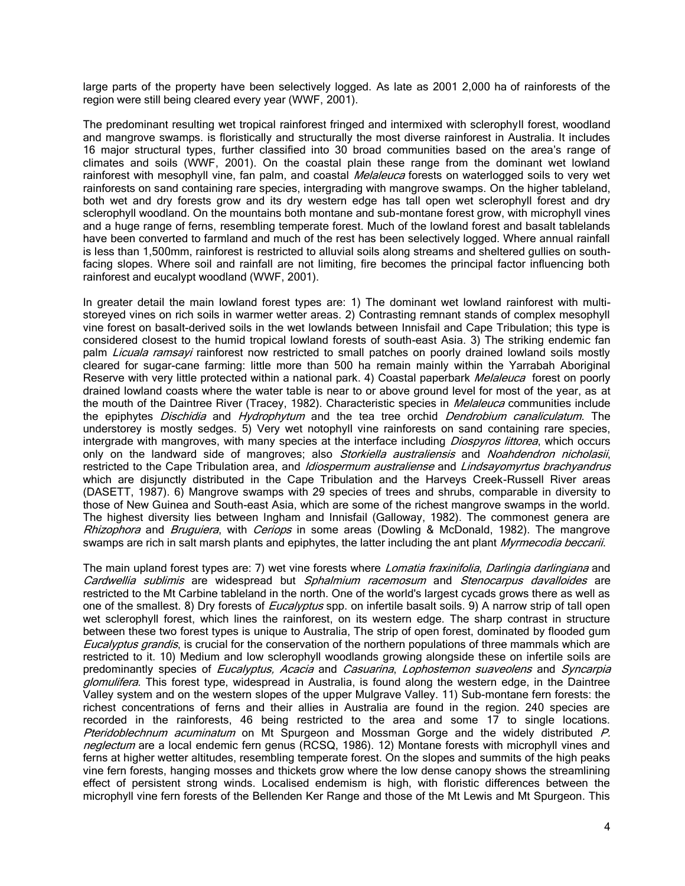large parts of the property have been selectively logged. As late as 2001 2,000 ha of rainforests of the region were still being cleared every year (WWF, 2001).

The predominant resulting wet tropical rainforest fringed and intermixed with sclerophyll forest, woodland and mangrove swamps. is floristically and structurally the most diverse rainforest in Australia. It includes 16 major structural types, further classified into 30 broad communities based on the area's range of climates and soils (WWF, 2001). On the coastal plain these range from the dominant wet lowland rainforest with mesophyll vine, fan palm, and coastal *Melaleuca* forests on waterlogged soils to very wet rainforests on sand containing rare species, intergrading with mangrove swamps. On the higher tableland, both wet and dry forests grow and its dry western edge has tall open wet sclerophyll forest and dry sclerophyll woodland. On the mountains both montane and sub-montane forest grow, with microphyll vines and a huge range of ferns, resembling temperate forest. Much of the lowland forest and basalt tablelands have been converted to farmland and much of the rest has been selectively logged. Where annual rainfall is less than 1,500mm, rainforest is restricted to alluvial soils along streams and sheltered gullies on southfacing slopes. Where soil and rainfall are not limiting, fire becomes the principal factor influencing both rainforest and eucalypt woodland (WWF, 2001).

In greater detail the main lowland forest types are: 1) The dominant wet lowland rainforest with multistoreyed vines on rich soils in warmer wetter areas. 2) Contrasting remnant stands of complex mesophyll vine forest on basalt-derived soils in the wet lowlands between Innisfail and Cape Tribulation; this type is considered closest to the humid tropical lowland forests of south-east Asia. 3) The striking endemic fan palm *Licuala ramsayi* rainforest now restricted to small patches on poorly drained lowland soils mostly cleared for sugar-cane farming: little more than 500 ha remain mainly within the Yarrabah Aboriginal Reserve with very little protected within a national park. 4) Coastal paperbark *Melaleuca* forest on poorly drained lowland coasts where the water table is near to or above ground level for most of the year, as at the mouth of the Daintree River (Tracey, 1982). Characteristic species in *Melaleuca* communities include the epiphytes *Dischidia* and *Hydrophytum* and the tea tree orchid *Dendrobium canaliculatum*. The understorey is mostly sedges. 5) Very wet notophyll vine rainforests on sand containing rare species, intergrade with mangroves, with many species at the interface including Diospyros littorea, which occurs only on the landward side of mangroves; also Storkiella australiensis and Noahdendron nicholasii, restricted to the Cape Tribulation area, and *Idiospermum australiense* and *Lindsayomyrtus brachyandrus* which are disjunctly distributed in the Cape Tribulation and the Harveys Creek-Russell River areas (DASETT, 1987). 6) Mangrove swamps with 29 species of trees and shrubs, comparable in diversity to those of New Guinea and South-east Asia, which are some of the richest mangrove swamps in the world. The highest diversity lies between Ingham and Innisfail (Galloway, 1982). The commonest genera are Rhizophora and Bruguiera, with Ceriops in some areas (Dowling & McDonald, 1982). The mangrove swamps are rich in salt marsh plants and epiphytes, the latter including the ant plant Myrmecodia beccarii.

The main upland forest types are: 7) wet vine forests where *Lomatia fraxinifolia, Darlingia darlingiana* and Cardwellia sublimis are widespread but Sphalmium racemosum and Stenocarpus davalloides are restricted to the Mt Carbine tableland in the north. One of the world's largest cycads grows there as well as one of the smallest. 8) Dry forests of *Eucalyptus* spp. on infertile basalt soils. 9) A narrow strip of tall open wet sclerophyll forest, which lines the rainforest, on its western edge. The sharp contrast in structure between these two forest types is unique to Australia, The strip of open forest, dominated by flooded gum Eucalyptus grandis, is crucial for the conservation of the northern populations of three mammals which are restricted to it. 10) Medium and low sclerophyll woodlands growing alongside these on infertile soils are predominantly species of *Eucalyptus, Acacia* and *Casuarina, Lophostemon suaveolens* and *Syncarpia* glomulifera. This forest type, widespread in Australia, is found along the western edge, in the Daintree Valley system and on the western slopes of the upper Mulgrave Valley. 11) Sub-montane fern forests: the richest concentrations of ferns and their allies in Australia are found in the region. 240 species are recorded in the rainforests, 46 being restricted to the area and some 17 to single locations. Pteridoblechnum acuminatum on Mt Spurgeon and Mossman Gorge and the widely distributed P. neglectum are a local endemic fern genus (RCSQ, 1986). 12) Montane forests with microphyll vines and ferns at higher wetter altitudes, resembling temperate forest. On the slopes and summits of the high peaks vine fern forests, hanging mosses and thickets grow where the low dense canopy shows the streamlining effect of persistent strong winds. Localised endemism is high, with floristic differences between the microphyll vine fern forests of the Bellenden Ker Range and those of the Mt Lewis and Mt Spurgeon. This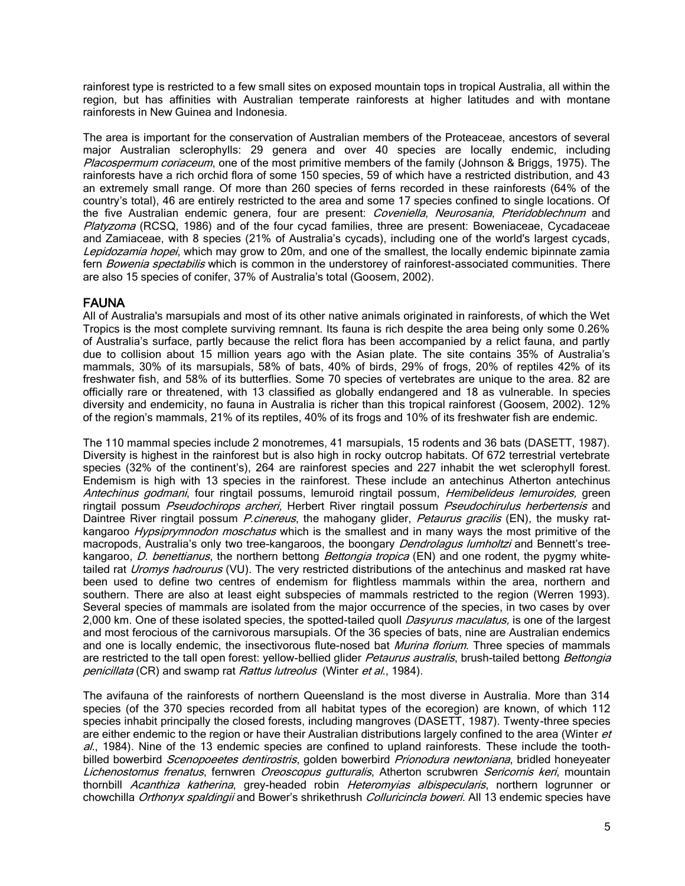rainforest type is restricted to a few small sites on exposed mountain tops in tropical Australia, all within the region, but has affinities with Australian temperate rainforests at higher latitudes and with montane rainforests in New Guinea and Indonesia.

The area is important for the conservation of Australian members of the Proteaceae, ancestors of several major Australian sclerophylls: 29 genera and over 40 species are locally endemic, including Placospermum coriaceum, one of the most primitive members of the family (Johnson & Briggs, 1975). The rainforests have a rich orchid flora of some 150 species, 59 of which have a restricted distribution, and 43 an extremely small range. Of more than 260 species of ferns recorded in these rainforests (64% of the country's total), 46 are entirely restricted to the area and some 17 species confined to single locations. Of the five Australian endemic genera, four are present: Coveniella, Neurosania, Pteridoblechnum and Platyzoma (RCSQ, 1986) and of the four cycad families, three are present: Boweniaceae, Cycadaceae and Zamiaceae, with 8 species (21% of Australia's cycads), including one of the world's largest cycads, Lepidozamia hopei, which may grow to 20m, and one of the smallest, the locally endemic bipinnate zamia fern Bowenia spectabilis which is common in the understorey of rainforest-associated communities. There are also 15 species of conifer, 37% of Australia's total (Goosem, 2002).

# FAUNA

All of Australia's marsupials and most of its other native animals originated in rainforests, of which the Wet Tropics is the most complete surviving remnant. Its fauna is rich despite the area being only some 0.26% of Australia's surface, partly because the relict flora has been accompanied by a relict fauna, and partly due to collision about 15 million years ago with the Asian plate. The site contains 35% of Australia's mammals, 30% of its marsupials, 58% of bats, 40% of birds, 29% of frogs, 20% of reptiles 42% of its freshwater fish, and 58% of its butterflies. Some 70 species of vertebrates are unique to the area. 82 are officially rare or threatened, with 13 classified as globally endangered and 18 as vulnerable. In species diversity and endemicity, no fauna in Australia is richer than this tropical rainforest (Goosem, 2002). 12% of the region's mammals, 21% of its reptiles, 40% of its frogs and 10% of its freshwater fish are endemic.

The 110 mammal species include 2 monotremes, 41 marsupials, 15 rodents and 36 bats (DASETT, 1987). Diversity is highest in the rainforest but is also high in rocky outcrop habitats. Of 672 terrestrial vertebrate species (32% of the continent's), 264 are rainforest species and 227 inhabit the wet sclerophyll forest. Endemism is high with 13 species in the rainforest. These include an antechinus Atherton antechinus Antechinus godmani, four ringtail possums, lemuroid ringtail possum, Hemibelideus lemuroides, green ringtail possum Pseudochirops archeri, Herbert River ringtail possum Pseudochirulus herbertensis and Daintree River ringtail possum *P.cinereus*, the mahogany glider, *Petaurus gracilis* (EN), the musky ratkangaroo Hypsiprymnodon moschatus which is the smallest and in many ways the most primitive of the macropods, Australia's only two tree-kangaroos, the boongary *Dendrolagus lumholtzi* and Bennett's treekangaroo, D. benettianus, the northern bettong Bettongia tropica (EN) and one rodent, the pygmy whitetailed rat *Uromys hadrourus* (VU). The very restricted distributions of the antechinus and masked rat have been used to define two centres of endemism for flightless mammals within the area, northern and southern. There are also at least eight subspecies of mammals restricted to the region (Werren 1993). Several species of mammals are isolated from the major occurrence of the species, in two cases by over 2,000 km. One of these isolated species, the spotted-tailed quoll *Dasyurus maculatus*, is one of the largest and most ferocious of the carnivorous marsupials. Of the 36 species of bats, nine are Australian endemics and one is locally endemic, the insectivorous flute-nosed bat Murina florium. Three species of mammals are restricted to the tall open forest: yellow-bellied glider Petaurus australis, brush-tailed bettong Bettongia penicillata (CR) and swamp rat Rattus lutreolus (Winter et al., 1984).

The avifauna of the rainforests of northern Queensland is the most diverse in Australia. More than 314 species (of the 370 species recorded from all habitat types of the ecoregion) are known, of which 112 species inhabit principally the closed forests, including mangroves (DASETT, 1987). Twenty-three species are either endemic to the region or have their Australian distributions largely confined to the area (Winter et  $a$ ., 1984). Nine of the 13 endemic species are confined to upland rainforests. These include the toothbilled bowerbird Scenopoeetes dentirostris, golden bowerbird Prionodura newtoniana, bridled honeyeater Lichenostomus frenatus, fernwren Oreoscopus gutturalis, Atherton scrubwren Sericornis keri, mountain thornbill Acanthiza katherina, grey-headed robin Heteromyias albispecularis, northern logrunner or chowchilla Orthonyx spaldingii and Bower's shrikethrush Colluricincla boweri. All 13 endemic species have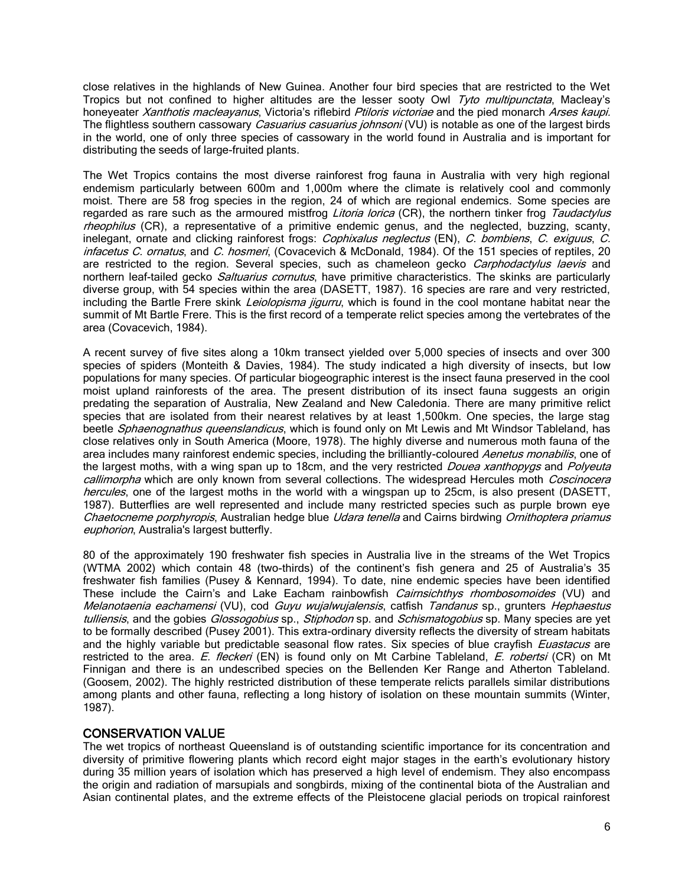close relatives in the highlands of New Guinea. Another four bird species that are restricted to the Wet Tropics but not confined to higher altitudes are the lesser sooty Owl Tyto multipunctata, Macleay's honeyeater Xanthotis macleayanus, Victoria's riflebird Ptiloris victoriae and the pied monarch Arses kaupi. The flightless southern cassowary *Casuarius casuarius johnsoni* (VU) is notable as one of the largest birds in the world, one of only three species of cassowary in the world found in Australia and is important for distributing the seeds of large-fruited plants.

The Wet Tropics contains the most diverse rainforest frog fauna in Australia with very high regional endemism particularly between 600m and 1,000m where the climate is relatively cool and commonly moist. There are 58 frog species in the region, 24 of which are regional endemics. Some species are regarded as rare such as the armoured mistfrog Litoria lorica (CR), the northern tinker frog Taudactylus rheophilus (CR), a representative of a primitive endemic genus, and the neglected, buzzing, scanty, inelegant, ornate and clicking rainforest frogs: *Cophixalus neglectus* (EN), C. bombiens, C. exiguus, C. infacetus C. ornatus, and C. hosmeri, (Covacevich & McDonald, 1984). Of the 151 species of reptiles, 20 are restricted to the region. Several species, such as chameleon gecko Carphodactylus laevis and northern leaf-tailed gecko Saltuarius cornutus, have primitive characteristics. The skinks are particularly diverse group, with 54 species within the area (DASETT, 1987). 16 species are rare and very restricted, including the Bartle Frere skink Leiolopisma jigurru, which is found in the cool montane habitat near the summit of Mt Bartle Frere. This is the first record of a temperate relict species among the vertebrates of the area (Covacevich, 1984).

A recent survey of five sites along a 10km transect yielded over 5,000 species of insects and over 300 species of spiders (Monteith & Davies, 1984). The study indicated a high diversity of insects, but low populations for many species. Of particular biogeographic interest is the insect fauna preserved in the cool moist upland rainforests of the area. The present distribution of its insect fauna suggests an origin predating the separation of Australia, New Zealand and New Caledonia. There are many primitive relict species that are isolated from their nearest relatives by at least 1,500km. One species, the large stag beetle Sphaenognathus queenslandicus, which is found only on Mt Lewis and Mt Windsor Tableland, has close relatives only in South America (Moore, 1978). The highly diverse and numerous moth fauna of the area includes many rainforest endemic species, including the brilliantly-coloured Aenetus monabilis, one of the largest moths, with a wing span up to 18cm, and the very restricted *Douea xanthopygs* and *Polyeuta* callimorpha which are only known from several collections. The widespread Hercules moth Coscinocera hercules, one of the largest moths in the world with a wingspan up to 25cm, is also present (DASETT, 1987). Butterflies are well represented and include many restricted species such as purple brown eye Chaetocneme porphyropis, Australian hedge blue Udara tenella and Cairns birdwing Ornithoptera priamus euphorion, Australia's largest butterfly.

80 of the approximately 190 freshwater fish species in Australia live in the streams of the Wet Tropics (WTMA 2002) which contain 48 (two-thirds) of the continent's fish genera and 25 of Australia's 35 freshwater fish families (Pusey & Kennard, 1994). To date, nine endemic species have been identified These include the Cairn's and Lake Eacham rainbowfish Cairnsichthys rhombosomoides (VU) and Melanotaenia eachamensi (VU), cod Guyu wujalwujalensis, catfish Tandanus sp., grunters Hephaestus tulliensis, and the gobies Glossogobius sp., Stiphodon sp. and Schismatogobius sp. Many species are yet to be formally described (Pusey 2001). This extra-ordinary diversity reflects the diversity of stream habitats and the highly variable but predictable seasonal flow rates. Six species of blue crayfish *Euastacus* are restricted to the area. E. fleckeri (EN) is found only on Mt Carbine Tableland, E. robertsi (CR) on Mt Finnigan and there is an undescribed species on the Bellenden Ker Range and Atherton Tableland. (Goosem, 2002). The highly restricted distribution of these temperate relicts parallels similar distributions among plants and other fauna, reflecting a long history of isolation on these mountain summits (Winter, 1987).

# CONSERVATION VALUE

The wet tropics of northeast Queensland is of outstanding scientific importance for its concentration and diversity of primitive flowering plants which record eight major stages in the earth's evolutionary history during 35 million years of isolation which has preserved a high level of endemism. They also encompass the origin and radiation of marsupials and songbirds, mixing of the continental biota of the Australian and Asian continental plates, and the extreme effects of the Pleistocene glacial periods on tropical rainforest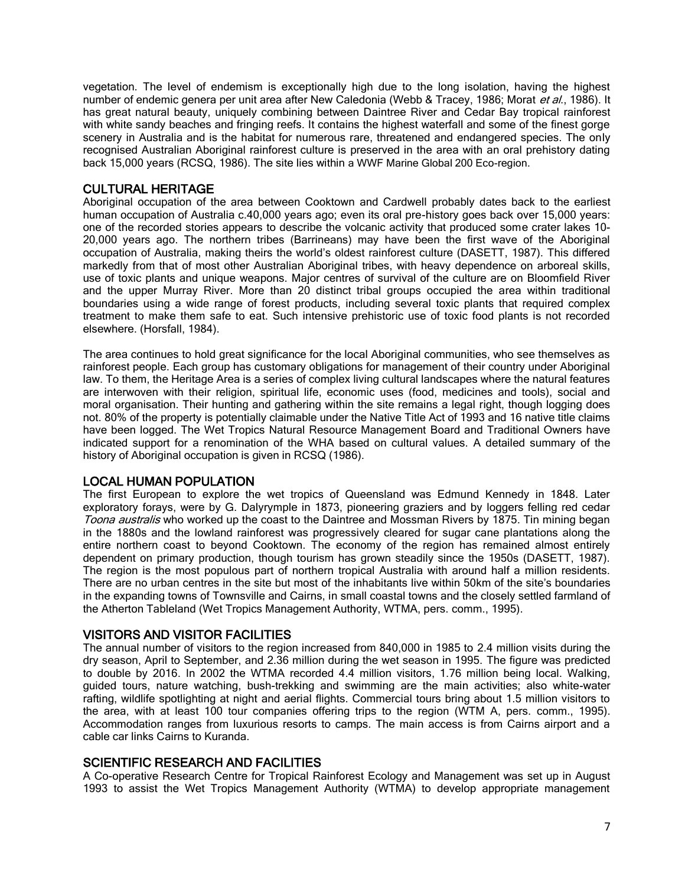vegetation. The level of endemism is exceptionally high due to the long isolation, having the highest number of endemic genera per unit area after New Caledonia (Webb & Tracey, 1986; Morat et al., 1986). It has great natural beauty, uniquely combining between Daintree River and Cedar Bay tropical rainforest with white sandy beaches and fringing reefs. It contains the highest waterfall and some of the finest gorge scenery in Australia and is the habitat for numerous rare, threatened and endangered species. The only recognised Australian Aboriginal rainforest culture is preserved in the area with an oral prehistory dating back 15,000 years (RCSQ, 1986). The site lies within a WWF Marine Global 200 Eco-region.

#### CULTURAL HERITAGE

Aboriginal occupation of the area between Cooktown and Cardwell probably dates back to the earliest human occupation of Australia c.40,000 years ago; even its oral pre-history goes back over 15,000 years: one of the recorded stories appears to describe the volcanic activity that produced some crater lakes 10- 20,000 years ago. The northern tribes (Barrineans) may have been the first wave of the Aboriginal occupation of Australia, making theirs the world's oldest rainforest culture (DASETT, 1987). This differed markedly from that of most other Australian Aboriginal tribes, with heavy dependence on arboreal skills, use of toxic plants and unique weapons. Major centres of survival of the culture are on Bloomfield River and the upper Murray River. More than 20 distinct tribal groups occupied the area within traditional boundaries using a wide range of forest products, including several toxic plants that required complex treatment to make them safe to eat. Such intensive prehistoric use of toxic food plants is not recorded elsewhere. (Horsfall, 1984).

The area continues to hold great significance for the local Aboriginal communities, who see themselves as rainforest people. Each group has customary obligations for management of their country under Aboriginal law. To them, the Heritage Area is a series of complex living cultural landscapes where the natural features are interwoven with their religion, spiritual life, economic uses (food, medicines and tools), social and moral organisation. Their hunting and gathering within the site remains a legal right, though logging does not. 80% of the property is potentially claimable under the Native Title Act of 1993 and 16 native title claims have been logged. The Wet Tropics Natural Resource Management Board and Traditional Owners have indicated support for a renomination of the WHA based on cultural values. A detailed summary of the history of Aboriginal occupation is given in RCSQ (1986).

# LOCAL HUMAN POPULATION

The first European to explore the wet tropics of Queensland was Edmund Kennedy in 1848. Later exploratory forays, were by G. Dalyrymple in 1873, pioneering graziers and by loggers felling red cedar Toona australis who worked up the coast to the Daintree and Mossman Rivers by 1875. Tin mining began in the 1880s and the lowland rainforest was progressively cleared for sugar cane plantations along the entire northern coast to beyond Cooktown. The economy of the region has remained almost entirely dependent on primary production, though tourism has grown steadily since the 1950s (DASETT, 1987). The region is the most populous part of northern tropical Australia with around half a million residents. There are no urban centres in the site but most of the inhabitants live within 50km of the site's boundaries in the expanding towns of Townsville and Cairns, in small coastal towns and the closely settled farmland of the Atherton Tableland (Wet Tropics Management Authority, WTMA, pers. comm., 1995).

#### VISITORS AND VISITOR FACILITIES

The annual number of visitors to the region increased from 840,000 in 1985 to 2.4 million visits during the dry season, April to September, and 2.36 million during the wet season in 1995. The figure was predicted to double by 2016. In 2002 the WTMA recorded 4.4 million visitors, 1.76 million being local. Walking, guided tours, nature watching, bush-trekking and swimming are the main activities; also white-water rafting, wildlife spotlighting at night and aerial flights. Commercial tours bring about 1.5 million visitors to the area, with at least 100 tour companies offering trips to the region (WTM A, pers. comm., 1995). Accommodation ranges from luxurious resorts to camps. The main access is from Cairns airport and a cable car links Cairns to Kuranda.

#### SCIENTIFIC RESEARCH AND FACILITIES

A Co-operative Research Centre for Tropical Rainforest Ecology and Management was set up in August 1993 to assist the Wet Tropics Management Authority (WTMA) to develop appropriate management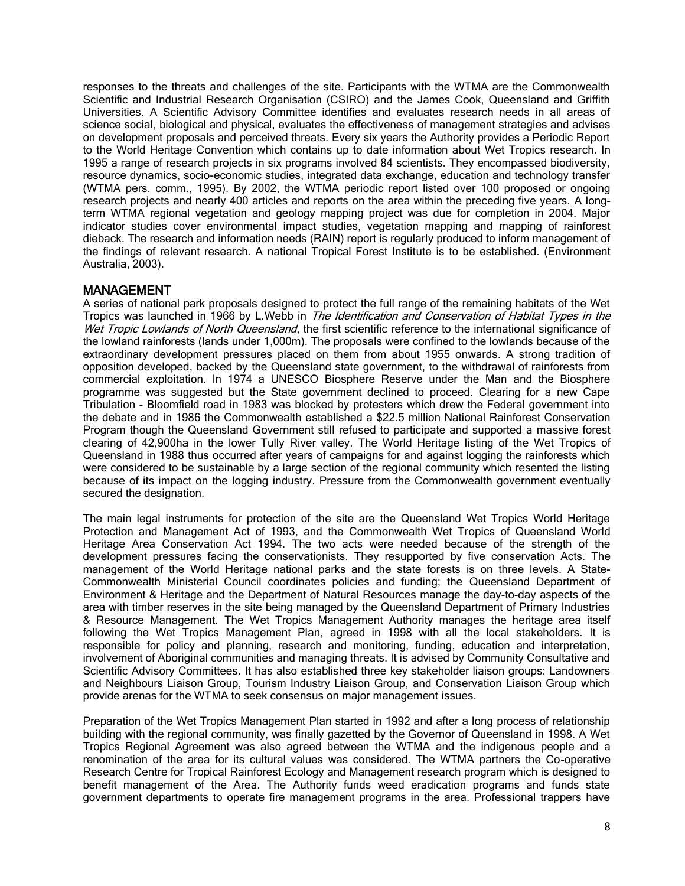responses to the threats and challenges of the site. Participants with the WTMA are the Commonwealth Scientific and Industrial Research Organisation (CSIRO) and the James Cook, Queensland and Griffith Universities. A Scientific Advisory Committee identifies and evaluates research needs in all areas of science social, biological and physical, evaluates the effectiveness of management strategies and advises on development proposals and perceived threats. Every six years the Authority provides a Periodic Report to the World Heritage Convention which contains up to date information about Wet Tropics research. In 1995 a range of research projects in six programs involved 84 scientists. They encompassed biodiversity, resource dynamics, socio-economic studies, integrated data exchange, education and technology transfer (WTMA pers. comm., 1995). By 2002, the WTMA periodic report listed over 100 proposed or ongoing research projects and nearly 400 articles and reports on the area within the preceding five years. A longterm WTMA regional vegetation and geology mapping project was due for completion in 2004. Major indicator studies cover environmental impact studies, vegetation mapping and mapping of rainforest dieback. The research and information needs (RAIN) report is regularly produced to inform management of the findings of relevant research. A national Tropical Forest Institute is to be established. (Environment Australia, 2003).

# MANAGEMENT

A series of national park proposals designed to protect the full range of the remaining habitats of the Wet Tropics was launched in 1966 by L.Webb in The Identification and Conservation of Habitat Types in the Wet Tropic Lowlands of North Queensland, the first scientific reference to the international significance of the lowland rainforests (lands under 1,000m). The proposals were confined to the lowlands because of the extraordinary development pressures placed on them from about 1955 onwards. A strong tradition of opposition developed, backed by the Queensland state government, to the withdrawal of rainforests from commercial exploitation. In 1974 a UNESCO Biosphere Reserve under the Man and the Biosphere programme was suggested but the State government declined to proceed. Clearing for a new Cape Tribulation - Bloomfield road in 1983 was blocked by protesters which drew the Federal government into the debate and in 1986 the Commonwealth established a \$22.5 million National Rainforest Conservation Program though the Queensland Government still refused to participate and supported a massive forest clearing of 42,900ha in the lower Tully River valley. The World Heritage listing of the Wet Tropics of Queensland in 1988 thus occurred after years of campaigns for and against logging the rainforests which were considered to be sustainable by a large section of the regional community which resented the listing because of its impact on the logging industry. Pressure from the Commonwealth government eventually secured the designation.

The main legal instruments for protection of the site are the Queensland Wet Tropics World Heritage Protection and Management Act of 1993, and the Commonwealth Wet Tropics of Queensland World Heritage Area Conservation Act 1994. The two acts were needed because of the strength of the development pressures facing the conservationists. They resupported by five conservation Acts. The management of the World Heritage national parks and the state forests is on three levels. A State-Commonwealth Ministerial Council coordinates policies and funding; the Queensland Department of Environment & Heritage and the Department of Natural Resources manage the day-to-day aspects of the area with timber reserves in the site being managed by the Queensland Department of Primary Industries & Resource Management. The Wet Tropics Management Authority manages the heritage area itself following the Wet Tropics Management Plan, agreed in 1998 with all the local stakeholders. It is responsible for policy and planning, research and monitoring, funding, education and interpretation, involvement of Aboriginal communities and managing threats. It is advised by Community Consultative and Scientific Advisory Committees. It has also established three key stakeholder liaison groups: Landowners and Neighbours Liaison Group, Tourism Industry Liaison Group, and Conservation Liaison Group which provide arenas for the WTMA to seek consensus on major management issues.

Preparation of the Wet Tropics Management Plan started in 1992 and after a long process of relationship building with the regional community, was finally gazetted by the Governor of Queensland in 1998. A Wet Tropics Regional Agreement was also agreed between the WTMA and the indigenous people and a renomination of the area for its cultural values was considered. The WTMA partners the Co-operative Research Centre for Tropical Rainforest Ecology and Management research program which is designed to benefit management of the Area. The Authority funds weed eradication programs and funds state government departments to operate fire management programs in the area. Professional trappers have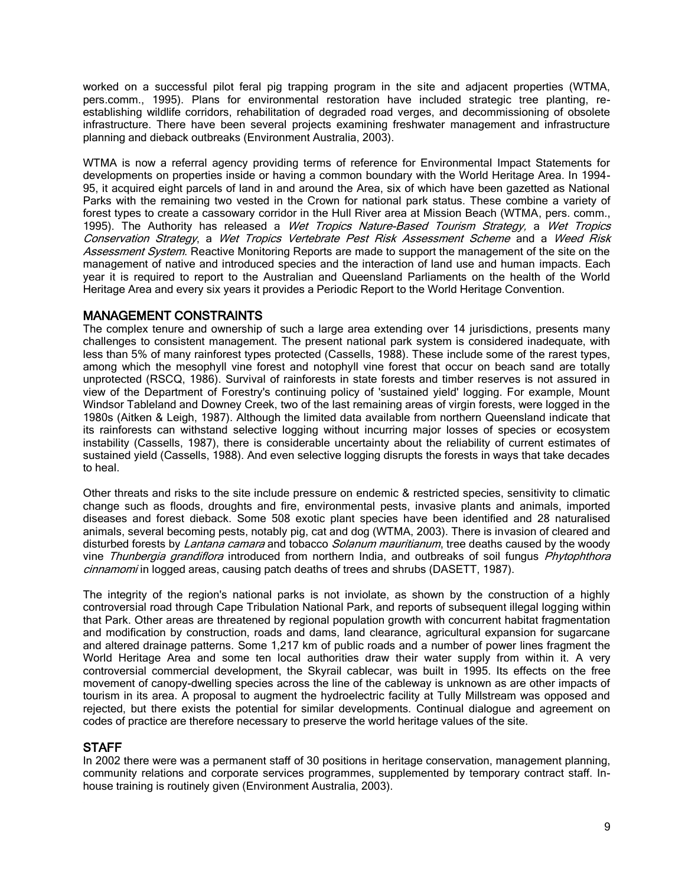worked on a successful pilot feral pig trapping program in the site and adjacent properties (WTMA, pers.comm., 1995). Plans for environmental restoration have included strategic tree planting, reestablishing wildlife corridors, rehabilitation of degraded road verges, and decommissioning of obsolete infrastructure. There have been several projects examining freshwater management and infrastructure planning and dieback outbreaks (Environment Australia, 2003).

WTMA is now a referral agency providing terms of reference for Environmental Impact Statements for developments on properties inside or having a common boundary with the World Heritage Area. In 1994- 95, it acquired eight parcels of land in and around the Area, six of which have been gazetted as National Parks with the remaining two vested in the Crown for national park status. These combine a variety of forest types to create a cassowary corridor in the Hull River area at Mission Beach (WTMA, pers. comm., 1995). The Authority has released a Wet Tropics Nature-Based Tourism Strategy, a Wet Tropics Conservation Strategy, a Wet Tropics Vertebrate Pest Risk Assessment Scheme and a Weed Risk Assessment System. Reactive Monitoring Reports are made to support the management of the site on the management of native and introduced species and the interaction of land use and human impacts. Each year it is required to report to the Australian and Queensland Parliaments on the health of the World Heritage Area and every six years it provides a Periodic Report to the World Heritage Convention.

# MANAGEMENT CONSTRAINTS

The complex tenure and ownership of such a large area extending over 14 jurisdictions, presents many challenges to consistent management. The present national park system is considered inadequate, with less than 5% of many rainforest types protected (Cassells, 1988). These include some of the rarest types, among which the mesophyll vine forest and notophyll vine forest that occur on beach sand are totally unprotected (RSCQ, 1986). Survival of rainforests in state forests and timber reserves is not assured in view of the Department of Forestry's continuing policy of 'sustained yield' logging. For example, Mount Windsor Tableland and Downey Creek, two of the last remaining areas of virgin forests, were logged in the 1980s (Aitken & Leigh, 1987). Although the limited data available from northern Queensland indicate that its rainforests can withstand selective logging without incurring major losses of species or ecosystem instability (Cassells, 1987), there is considerable uncertainty about the reliability of current estimates of sustained yield (Cassells, 1988). And even selective logging disrupts the forests in ways that take decades to heal.

Other threats and risks to the site include pressure on endemic & restricted species, sensitivity to climatic change such as floods, droughts and fire, environmental pests, invasive plants and animals, imported diseases and forest dieback. Some 508 exotic plant species have been identified and 28 naturalised animals, several becoming pests, notably pig, cat and dog (WTMA, 2003). There is invasion of cleared and disturbed forests by Lantana camara and tobacco Solanum mauritianum, tree deaths caused by the woody vine Thunbergia grandiflora introduced from northern India, and outbreaks of soil fungus Phytophthora cinnamomi in logged areas, causing patch deaths of trees and shrubs (DASETT, 1987).

The integrity of the region's national parks is not inviolate, as shown by the construction of a highly controversial road through Cape Tribulation National Park, and reports of subsequent illegal logging within that Park. Other areas are threatened by regional population growth with concurrent habitat fragmentation and modification by construction, roads and dams, land clearance, agricultural expansion for sugarcane and altered drainage patterns. Some 1,217 km of public roads and a number of power lines fragment the World Heritage Area and some ten local authorities draw their water supply from within it. A very controversial commercial development, the Skyrail cablecar, was built in 1995. Its effects on the free movement of canopy-dwelling species across the line of the cableway is unknown as are other impacts of tourism in its area. A proposal to augment the hydroelectric facility at Tully Millstream was opposed and rejected, but there exists the potential for similar developments. Continual dialogue and agreement on codes of practice are therefore necessary to preserve the world heritage values of the site.

# STAFF

In 2002 there were was a permanent staff of 30 positions in heritage conservation, management planning, community relations and corporate services programmes, supplemented by temporary contract staff. Inhouse training is routinely given (Environment Australia, 2003).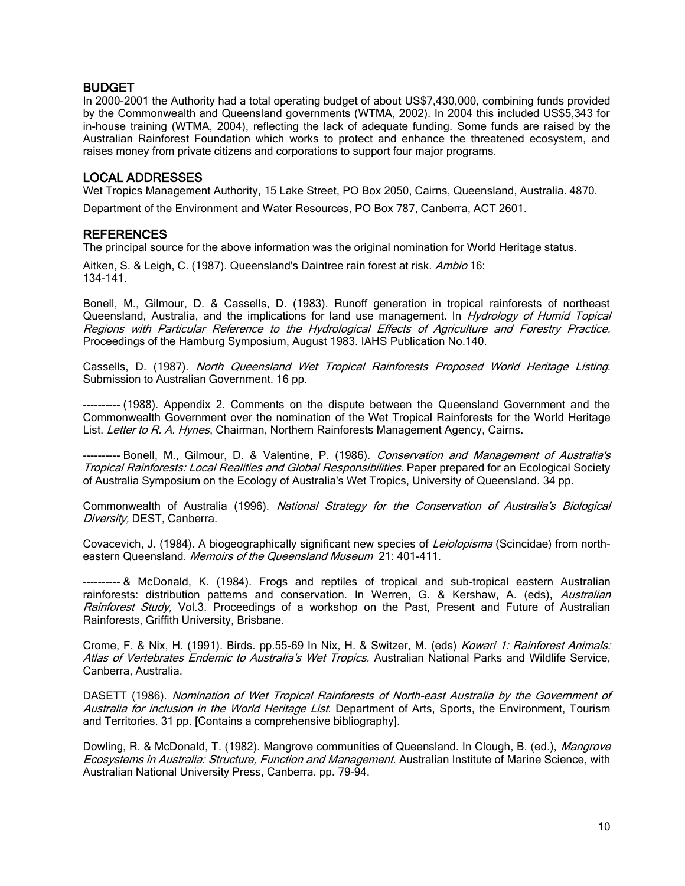# BUDGET

In 2000-2001 the Authority had a total operating budget of about US\$7,430,000, combining funds provided by the Commonwealth and Queensland governments (WTMA, 2002). In 2004 this included US\$5,343 for in-house training (WTMA, 2004), reflecting the lack of adequate funding. Some funds are raised by the Australian Rainforest Foundation which works to protect and enhance the threatened ecosystem, and raises money from private citizens and corporations to support four major programs.

# LOCAL ADDRESSES

Wet Tropics Management Authority, 15 Lake Street, PO Box 2050, Cairns, Queensland, Australia. 4870.

Department of the Environment and Water Resources, PO Box 787, Canberra, ACT 2601.

#### **REFERENCES**

The principal source for the above information was the original nomination for World Heritage status.

Aitken, S. & Leigh, C. (1987). Queensland's Daintree rain forest at risk. Ambio 16: 134-141.

Bonell, M., Gilmour, D. & Cassells, D. (1983). Runoff generation in tropical rainforests of northeast Queensland, Australia, and the implications for land use management. In *Hydrology of Humid Topical* Regions with Particular Reference to the Hydrological Effects of Agriculture and Forestry Practice. Proceedings of the Hamburg Symposium, August 1983. IAHS Publication No.140.

Cassells, D. (1987). North Queensland Wet Tropical Rainforests Proposed World Heritage Listing. Submission to Australian Government. 16 pp.

---------- (1988). Appendix 2. Comments on the dispute between the Queensland Government and the Commonwealth Government over the nomination of the Wet Tropical Rainforests for the World Heritage List. Letter to R. A. Hynes, Chairman, Northern Rainforests Management Agency, Cairns.

------ Bonell, M., Gilmour, D. & Valentine, P. (1986). Conservation and Management of Australia's Tropical Rainforests: Local Realities and Global Responsibilities. Paper prepared for an Ecological Society of Australia Symposium on the Ecology of Australia's Wet Tropics, University of Queensland. 34 pp.

Commonwealth of Australia (1996). National Strategy for the Conservation of Australia's Biological Diversity, DEST, Canberra.

Covacevich, J. (1984). A biogeographically significant new species of *Leiolopisma* (Scincidae) from northeastern Queensland. Memoirs of the Queensland Museum 21: 401-411.

---------- & McDonald, K. (1984). Frogs and reptiles of tropical and sub-tropical eastern Australian rainforests: distribution patterns and conservation. In Werren, G. & Kershaw, A. (eds), Australian Rainforest Study, Vol.3. Proceedings of a workshop on the Past, Present and Future of Australian Rainforests, Griffith University, Brisbane.

Crome, F. & Nix, H. (1991). Birds. pp.55-69 In Nix, H. & Switzer, M. (eds) Kowari 1: Rainforest Animals: Atlas of Vertebrates Endemic to Australia's Wet Tropics. Australian National Parks and Wildlife Service, Canberra, Australia.

DASETT (1986). Nomination of Wet Tropical Rainforests of North-east Australia by the Government of Australia for inclusion in the World Heritage List. Department of Arts, Sports, the Environment, Tourism and Territories. 31 pp. [Contains a comprehensive bibliography].

Dowling, R. & McDonald, T. (1982). Mangrove communities of Queensland. In Clough, B. (ed.), Mangrove Ecosystems in Australia: Structure, Function and Management. Australian Institute of Marine Science, with Australian National University Press, Canberra. pp. 79-94.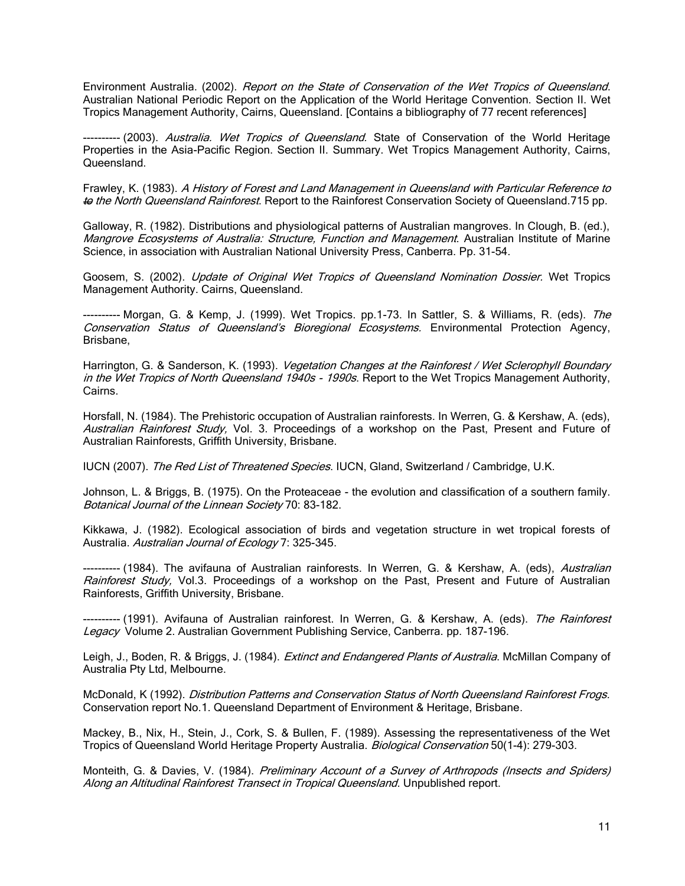Environment Australia. (2002). Report on the State of Conservation of the Wet Tropics of Queensland. Australian National Periodic Report on the Application of the World Heritage Convention. Section II. Wet Tropics Management Authority, Cairns, Queensland. [Contains a bibliography of 77 recent references]

-- (2003). *Australia. Wet Tropics of Queensland.* State of Conservation of the World Heritage Properties in the Asia-Pacific Region. Section II. Summary. Wet Tropics Management Authority, Cairns, Queensland.

Frawley, K. (1983). A History of Forest and Land Management in Queensland with Particular Reference to to the North Queensland Rainforest. Report to the Rainforest Conservation Society of Queensland.715 pp.

Galloway, R. (1982). Distributions and physiological patterns of Australian mangroves. In Clough, B. (ed.), Mangrove Ecosystems of Australia: Structure, Function and Management. Australian Institute of Marine Science, in association with Australian National University Press, Canberra. Pp. 31-54.

Goosem, S. (2002). Update of Original Wet Tropics of Queensland Nomination Dossier. Wet Tropics Management Authority. Cairns, Queensland.

---------- Morgan, G. & Kemp, J. (1999). Wet Tropics. pp.1-73. In Sattler, S. & Williams, R. (eds). The Conservation Status of Queensland's Bioregional Ecosystems. Environmental Protection Agency, Brisbane,

Harrington, G. & Sanderson, K. (1993). Vegetation Changes at the Rainforest / Wet Sclerophyll Boundary in the Wet Tropics of North Queensland 1940s - 1990s. Report to the Wet Tropics Management Authority, Cairns.

Horsfall, N. (1984). The Prehistoric occupation of Australian rainforests. In Werren, G. & Kershaw, A. (eds), Australian Rainforest Study, Vol. 3. Proceedings of a workshop on the Past, Present and Future of Australian Rainforests, Griffith University, Brisbane.

IUCN (2007). The Red List of Threatened Species. IUCN, Gland, Switzerland / Cambridge, U.K.

Johnson, L. & Briggs, B. (1975). On the Proteaceae - the evolution and classification of a southern family. Botanical Journal of the Linnean Society 70: 83-182.

Kikkawa, J. (1982). Ecological association of birds and vegetation structure in wet tropical forests of Australia. Australian Journal of Ecology 7: 325-345.

---------- (1984). The avifauna of Australian rainforests. In Werren, G. & Kershaw, A. (eds), Australian Rainforest Study, Vol.3. Proceedings of a workshop on the Past, Present and Future of Australian Rainforests, Griffith University, Brisbane.

---------- (1991). Avifauna of Australian rainforest. In Werren, G. & Kershaw, A. (eds). The Rainforest Legacy Volume 2. Australian Government Publishing Service, Canberra. pp. 187-196.

Leigh, J., Boden, R. & Briggs, J. (1984). Extinct and Endangered Plants of Australia. McMillan Company of Australia Pty Ltd, Melbourne.

McDonald, K (1992). Distribution Patterns and Conservation Status of North Queensland Rainforest Frogs. Conservation report No.1. Queensland Department of Environment & Heritage, Brisbane.

Mackey, B., Nix, H., Stein, J., Cork, S. & Bullen, F. (1989). Assessing the representativeness of the Wet Tropics of Queensland World Heritage Property Australia. Biological Conservation 50(1-4): 279-303.

Monteith, G. & Davies, V. (1984). Preliminary Account of a Survey of Arthropods (Insects and Spiders) Along an Altitudinal Rainforest Transect in Tropical Queensland. Unpublished report.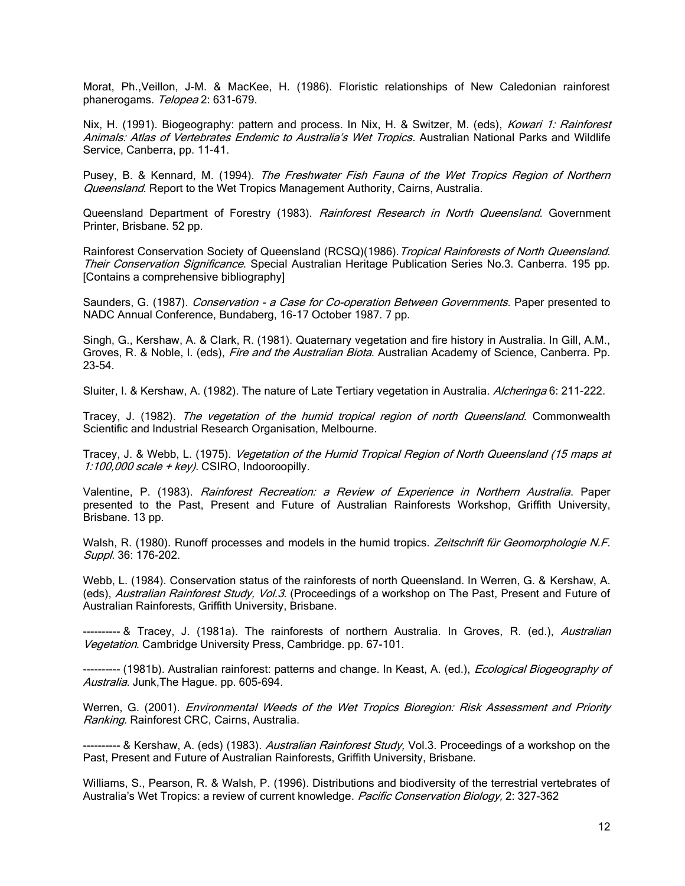Morat, Ph.,Veillon, J-M. & MacKee, H. (1986). Floristic relationships of New Caledonian rainforest phanerogams. Telopea 2: 631-679.

Nix, H. (1991). Biogeography: pattern and process. In Nix, H. & Switzer, M. (eds), *Kowari 1: Rainforest* Animals: Atlas of Vertebrates Endemic to Australia's Wet Tropics. Australian National Parks and Wildlife Service, Canberra, pp. 11-41.

Pusey, B. & Kennard, M. (1994). The Freshwater Fish Fauna of the Wet Tropics Region of Northern Queensland. Report to the Wet Tropics Management Authority, Cairns, Australia.

Queensland Department of Forestry (1983). Rainforest Research in North Queensland. Government Printer, Brisbane. 52 pp.

Rainforest Conservation Society of Queensland (RCSQ)(1986). Tropical Rainforests of North Queensland. Their Conservation Significance. Special Australian Heritage Publication Series No.3. Canberra. 195 pp. [Contains a comprehensive bibliography]

Saunders, G. (1987). Conservation - a Case for Co-operation Between Governments. Paper presented to NADC Annual Conference, Bundaberg, 16-17 October 1987. 7 pp.

Singh, G., Kershaw, A. & Clark, R. (1981). Quaternary vegetation and fire history in Australia. In Gill, A.M., Groves, R. & Noble, I. (eds), *Fire and the Australian Biota*. Australian Academy of Science, Canberra. Pp. 23-54.

Sluiter, I. & Kershaw, A. (1982). The nature of Late Tertiary vegetation in Australia. Alcheringa 6: 211-222.

Tracey, J. (1982). The vegetation of the humid tropical region of north Queensland. Commonwealth Scientific and Industrial Research Organisation, Melbourne.

Tracey, J. & Webb, L. (1975). Vegetation of the Humid Tropical Region of North Queensland (15 maps at 1:100,000 scale + key). CSIRO, Indooroopilly.

Valentine, P. (1983). Rainforest Recreation: a Review of Experience in Northern Australia. Paper presented to the Past, Present and Future of Australian Rainforests Workshop, Griffith University, Brisbane. 13 pp.

Walsh, R. (1980). Runoff processes and models in the humid tropics. Zeitschrift für Geomorphologie N.F. Suppl. 36: 176-202.

Webb, L. (1984). Conservation status of the rainforests of north Queensland. In Werren, G. & Kershaw, A. (eds), Australian Rainforest Study, Vol.3. (Proceedings of a workshop on The Past, Present and Future of Australian Rainforests, Griffith University, Brisbane.

---------- & Tracey, J. (1981a). The rainforests of northern Australia. In Groves, R. (ed.), Australian Vegetation. Cambridge University Press, Cambridge. pp. 67-101.

---------- (1981b). Australian rainforest: patterns and change. In Keast, A. (ed.), *Ecological Biogeography of* Australia. Junk, The Hague. pp. 605-694.

Werren, G. (2001). Environmental Weeds of the Wet Tropics Bioregion: Risk Assessment and Priority Ranking. Rainforest CRC, Cairns, Australia.

---------- & Kershaw, A. (eds) (1983). Australian Rainforest Study, Vol.3. Proceedings of a workshop on the Past, Present and Future of Australian Rainforests, Griffith University, Brisbane.

Williams, S., Pearson, R. & Walsh, P. (1996). Distributions and biodiversity of the terrestrial vertebrates of Australia's Wet Tropics: a review of current knowledge. Pacific Conservation Biology, 2: 327-362